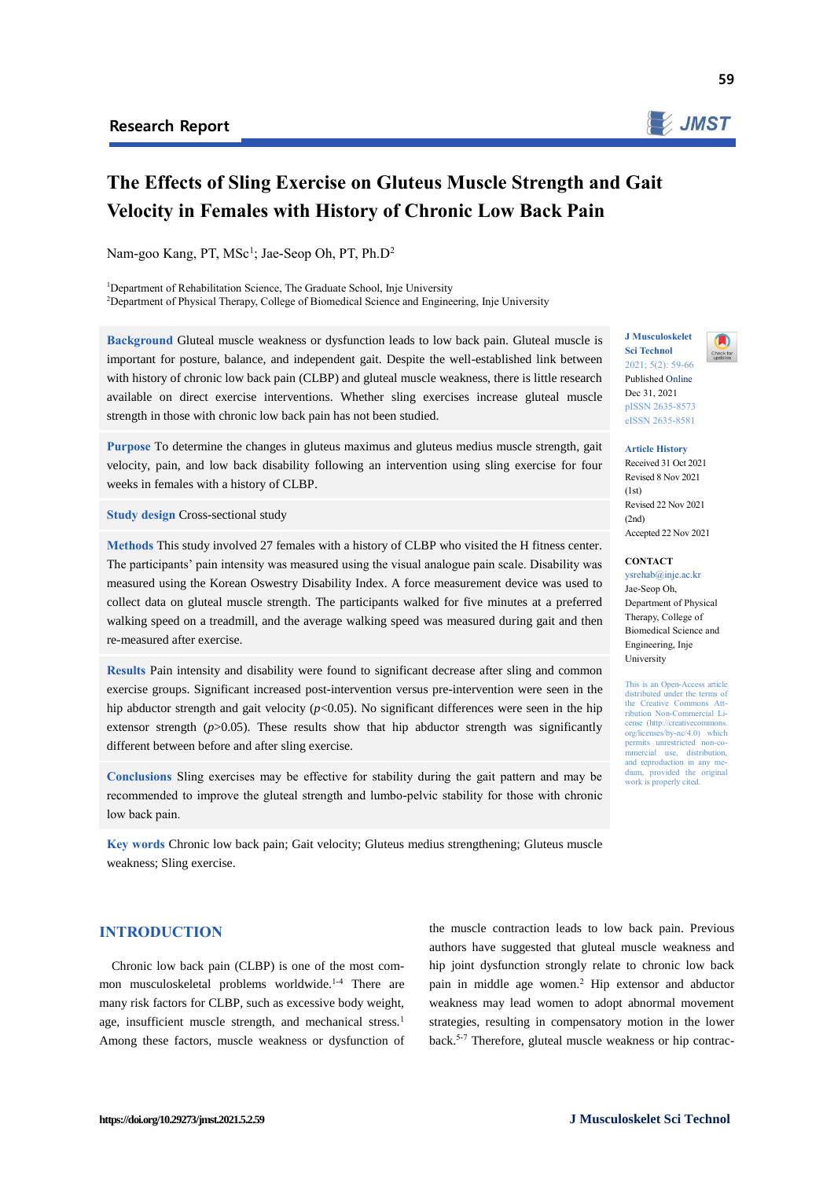

59

# **The Effects of Sling Exercise on Gluteus Muscle Strength and Gait Velocity in Females with History of Chronic Low Back Pain**

Nam-goo Kang, PT, MSc<sup>1</sup>; Jae-Seop Oh, PT, Ph.D<sup>2</sup>

<sup>1</sup>Department of Rehabilitation Science, The Graduate School, Inje University <sup>2</sup>Department of Physical Therapy, College of Biomedical Science and Engineering, Inje University

**Background** Gluteal muscle weakness or dysfunction leads to low back pain. Gluteal muscle is important for posture, balance, and independent gait. Despite the well-established link between with history of chronic low back pain (CLBP) and gluteal muscle weakness, there is little research available on direct exercise interventions. Whether sling exercises increase gluteal muscle strength in those with chronic low back pain has not been studied.

**Purpose** To determine the changes in gluteus maximus and gluteus medius muscle strength, gait velocity, pain, and low back disability following an intervention using sling exercise for four weeks in females with a history of CLBP.

**Study design** Cross-sectional study

**Methods** This study involved 27 females with a history of CLBP who visited the H fitness center. The participants' pain intensity was measured using the visual analogue pain scale. Disability was measured using the Korean Oswestry Disability Index. A force measurement device was used to collect data on gluteal muscle strength. The participants walked for five minutes at a preferred walking speed on a treadmill, and the average walking speed was measured during gait and then re-measured after exercise.

**Results** Pain intensity and disability were found to significant decrease after sling and common exercise groups. Significant increased post-intervention versus pre-intervention were seen in the hip abductor strength and gait velocity ( $p$ <0.05). No significant differences were seen in the hip extensor strength  $(p>0.05)$ . These results show that hip abductor strength was significantly different between before and after sling exercise.

**Conclusions** Sling exercises may be effective for stability during the gait pattern and may be recommended to improve the gluteal strength and lumbo-pelvic stability for those with chronic low back pain.

**Key words** Chronic low back pain; Gait velocity; Gluteus medius strengthening; Gluteus muscle weakness; Sling exercise.

**J Musculoskelet Sci Technol** 2021; 5(2): 59-66

Published Online Dec 31, 2021 pISSN 2635-8573 eISSN 2635-8581

**Article History** Received 31 Oct 2021 Revised 8 Nov 2021  $(1st)$ Revised 22 Nov 2021  $(2nd)$ Accepted 22 Nov 2021

## **CONTACT**

ysrehab@inje.ac.kr Jae-Seop Oh, Department of Physical Therapy, College of Biomedical Science and Engineering, Inje University

This is an Open-Access article distributed under the terms of the Creative Commons Attribution Non-Commercial License (http://creativecommons. org/licenses/by-nc/4.0) which permits unrestricted mmercial use, distribution, and reproduction in any medium, provided the original work is properly cited.

**INTRODUCTION**

Chronic low back pain (CLBP) is one of the most common musculoskeletal problems worldwide.<sup>1-4</sup> There are many risk factors for CLBP, such as excessive body weight, age, insufficient muscle strength, and mechanical stress.<sup>1</sup> Among these factors, muscle weakness or dysfunction of

the muscle contraction leads to low back pain. Previous authors have suggested that gluteal muscle weakness and hip joint dysfunction strongly relate to chronic low back pain in middle age women.<sup>2</sup> Hip extensor and abductor weakness may lead women to adopt abnormal movement strategies, resulting in compensatory motion in the lower back.5-7 Therefore, gluteal muscle weakness or hip contrac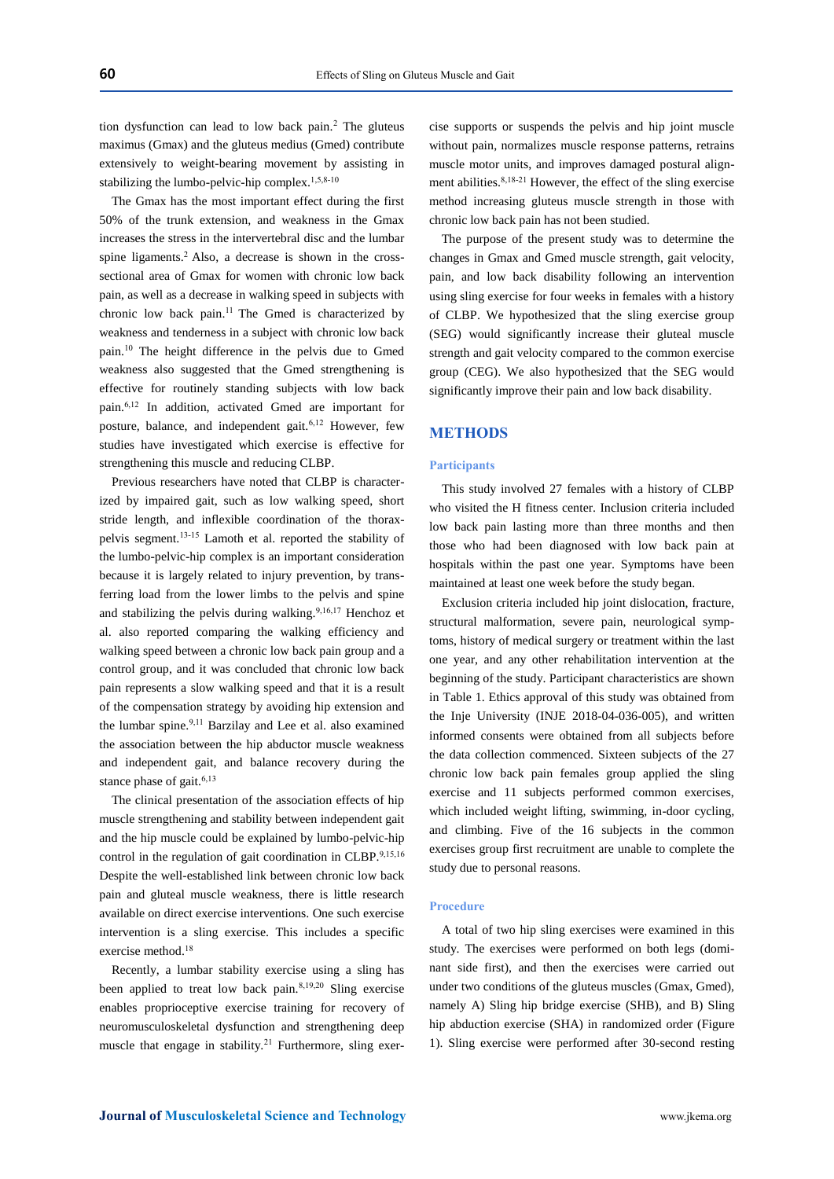tion dysfunction can lead to low back pain.<sup>2</sup> The gluteus maximus (Gmax) and the gluteus medius (Gmed) contribute extensively to weight-bearing movement by assisting in stabilizing the lumbo-pelvic-hip complex.<sup>1,5,8-10</sup>

The Gmax has the most important effect during the first 50% of the trunk extension, and weakness in the Gmax increases the stress in the intervertebral disc and the lumbar spine ligaments.<sup>2</sup> Also, a decrease is shown in the crosssectional area of Gmax for women with chronic low back pain, as well as a decrease in walking speed in subjects with chronic low back pain.<sup>11</sup> The Gmed is characterized by weakness and tenderness in a subject with chronic low back pain.<sup>10</sup> The height difference in the pelvis due to Gmed weakness also suggested that the Gmed strengthening is effective for routinely standing subjects with low back pain.6,12 In addition, activated Gmed are important for posture, balance, and independent gait.<sup>6,12</sup> However, few studies have investigated which exercise is effective for strengthening this muscle and reducing CLBP.

Previous researchers have noted that CLBP is characterized by impaired gait, such as low walking speed, short stride length, and inflexible coordination of the thoraxpelvis segment.13-15 Lamoth et al. reported the stability of the lumbo-pelvic-hip complex is an important consideration because it is largely related to injury prevention, by transferring load from the lower limbs to the pelvis and spine and stabilizing the pelvis during walking.<sup>9,16,17</sup> Henchoz et al. also reported comparing the walking efficiency and walking speed between a chronic low back pain group and a control group, and it was concluded that chronic low back pain represents a slow walking speed and that it is a result of the compensation strategy by avoiding hip extension and the lumbar spine.<sup>9,11</sup> Barzilay and Lee et al. also examined the association between the hip abductor muscle weakness and independent gait, and balance recovery during the stance phase of gait. $6,13$ 

The clinical presentation of the association effects of hip muscle strengthening and stability between independent gait and the hip muscle could be explained by lumbo-pelvic-hip control in the regulation of gait coordination in CLBP.<sup>9,15,16</sup> Despite the well-established link between chronic low back pain and gluteal muscle weakness, there is little research available on direct exercise interventions. One such exercise intervention is a sling exercise. This includes a specific exercise method.<sup>18</sup>

Recently, a lumbar stability exercise using a sling has been applied to treat low back pain.8,19,20 Sling exercise enables proprioceptive exercise training for recovery of neuromusculoskeletal dysfunction and strengthening deep muscle that engage in stability.<sup>21</sup> Furthermore, sling exercise supports or suspends the pelvis and hip joint muscle without pain, normalizes muscle response patterns, retrains muscle motor units, and improves damaged postural alignment abilities.8,18-21 However, the effect of the sling exercise method increasing gluteus muscle strength in those with chronic low back pain has not been studied.

The purpose of the present study was to determine the changes in Gmax and Gmed muscle strength, gait velocity, pain, and low back disability following an intervention using sling exercise for four weeks in females with a history of CLBP. We hypothesized that the sling exercise group (SEG) would significantly increase their gluteal muscle strength and gait velocity compared to the common exercise group (CEG). We also hypothesized that the SEG would significantly improve their pain and low back disability.

## **METHODS**

## **Participants**

This study involved 27 females with a history of CLBP who visited the H fitness center. Inclusion criteria included low back pain lasting more than three months and then those who had been diagnosed with low back pain at hospitals within the past one year. Symptoms have been maintained at least one week before the study began.

Exclusion criteria included hip joint dislocation, fracture, structural malformation, severe pain, neurological symptoms, history of medical surgery or treatment within the last one year, and any other rehabilitation intervention at the beginning of the study. Participant characteristics are shown in Table 1. Ethics approval of this study was obtained from the Inje University (INJE 2018-04-036-005), and written informed consents were obtained from all subjects before the data collection commenced. Sixteen subjects of the 27 chronic low back pain females group applied the sling exercise and 11 subjects performed common exercises, which included weight lifting, swimming, in-door cycling, and climbing. Five of the 16 subjects in the common exercises group first recruitment are unable to complete the study due to personal reasons.

#### **Procedure**

A total of two hip sling exercises were examined in this study. The exercises were performed on both legs (dominant side first), and then the exercises were carried out under two conditions of the gluteus muscles (Gmax, Gmed), namely A) Sling hip bridge exercise (SHB), and B) Sling hip abduction exercise (SHA) in randomized order (Figure 1). Sling exercise were performed after 30-second resting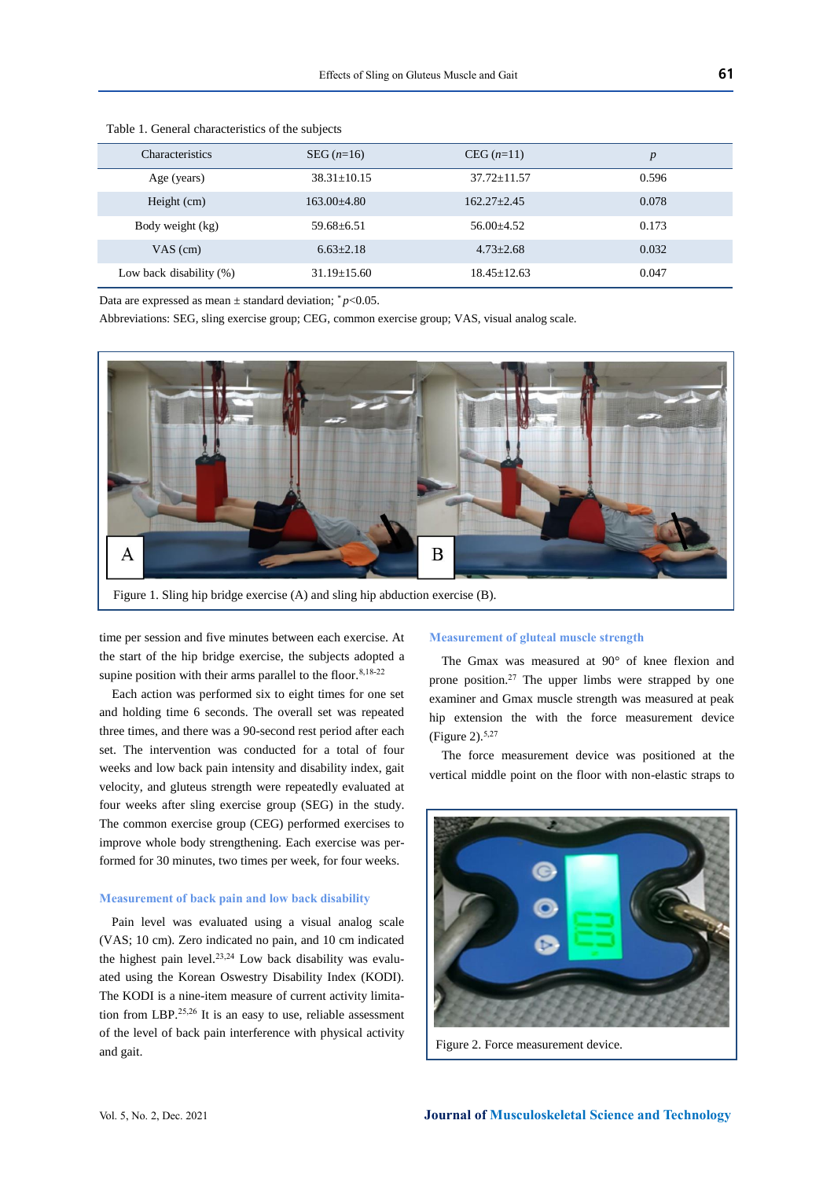| <b>Characteristics</b>     | $SEG (n=16)$      | $CEG (n=11)$    | $\boldsymbol{p}$ |
|----------------------------|-------------------|-----------------|------------------|
| Age (years)                | $38.31 \pm 10.15$ | $37.72 + 11.57$ | 0.596            |
| Height (cm)                | $163.00 + 4.80$   | $162.27 + 2.45$ | 0.078            |
| Body weight (kg)           | $59.68 + 6.51$    | $56.00+4.52$    | 0.173            |
| $VAS$ (cm)                 | $6.63 + 2.18$     | $4.73 + 2.68$   | 0.032            |
| Low back disability $(\%)$ | $31.19 + 15.60$   | $18.45 + 12.63$ | 0.047            |

Table 1. General characteristics of the subjects

Data are expressed as mean  $\pm$  standard deviation;  $p<0.05$ .

Abbreviations: SEG, sling exercise group; CEG, common exercise group; VAS, visual analog scale.



Figure 1. Sling hip bridge exercise (A) and sling hip abduction exercise (B).

time per session and five minutes between each exercise. At the start of the hip bridge exercise, the subjects adopted a supine position with their arms parallel to the floor.<sup>8,18-22</sup>

Each action was performed six to eight times for one set and holding time 6 seconds. The overall set was repeated three times, and there was a 90-second rest period after each set. The intervention was conducted for a total of four weeks and low back pain intensity and disability index, gait velocity, and gluteus strength were repeatedly evaluated at four weeks after sling exercise group (SEG) in the study. The common exercise group (CEG) performed exercises to improve whole body strengthening. Each exercise was performed for 30 minutes, two times per week, for four weeks.

## **Measurement of back pain and low back disability**

Pain level was evaluated using a visual analog scale (VAS; 10 cm). Zero indicated no pain, and 10 cm indicated the highest pain level.<sup>23,24</sup> Low back disability was evaluated using the Korean Oswestry Disability Index (KODI). The KODI is a nine-item measure of current activity limitation from LBP.25,26 It is an easy to use, reliable assessment of the level of back pain interference with physical activity and gait.

## **Measurement of gluteal muscle strength**

The Gmax was measured at 90° of knee flexion and prone position.<sup>27</sup> The upper limbs were strapped by one examiner and Gmax muscle strength was measured at peak hip extension the with the force measurement device (Figure 2).5,27

The force measurement device was positioned at the vertical middle point on the floor with non-elastic straps to



Figure 2. Force measurement device.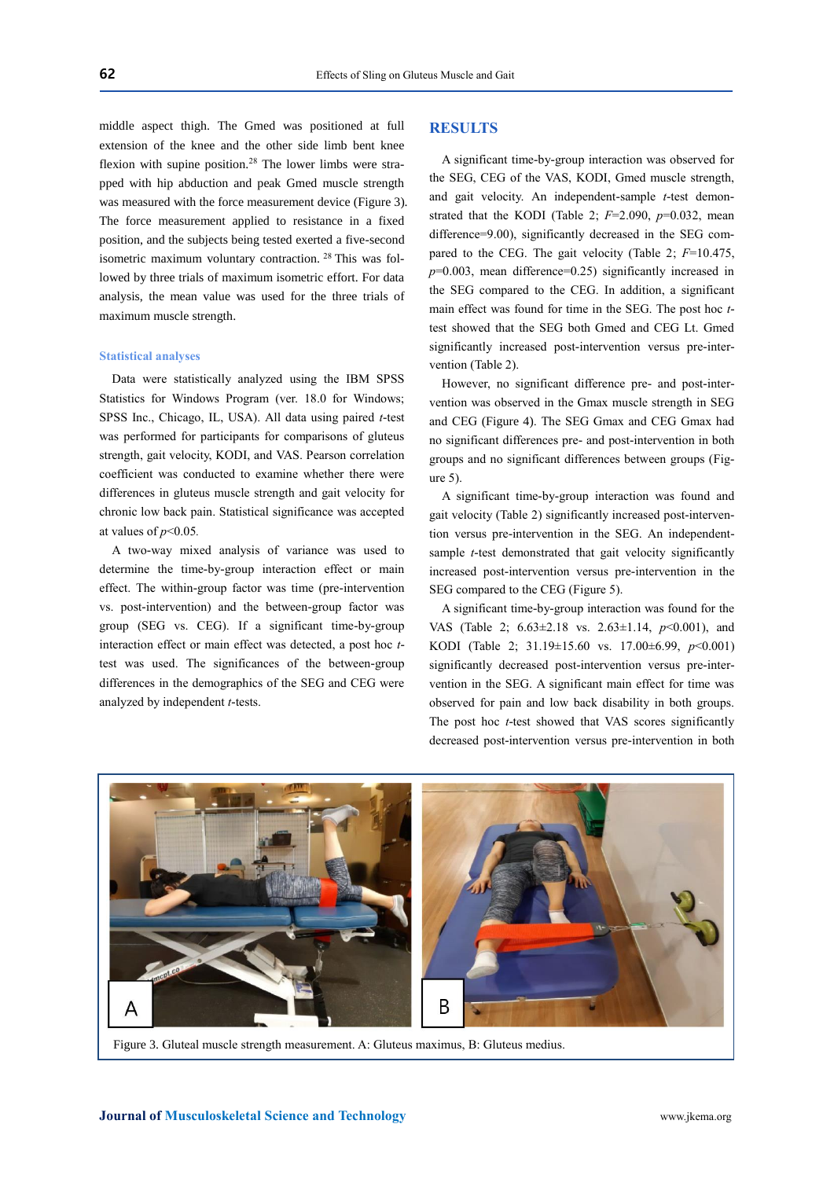middle aspect thigh. The Gmed was positioned at full extension of the knee and the other side limb bent knee flexion with supine position.<sup>28</sup> The lower limbs were strapped with hip abduction and peak Gmed muscle strength was measured with the force measurement device (Figure 3). The force measurement applied to resistance in a fixed position, and the subjects being tested exerted a five-second isometric maximum voluntary contraction. <sup>28</sup> This was followed by three trials of maximum isometric effort. For data analysis, the mean value was used for the three trials of maximum muscle strength.

#### **Statistical analyses**

Data were statistically analyzed using the IBM SPSS Statistics for Windows Program (ver. 18.0 for Windows; SPSS Inc., Chicago, IL, USA). All data using paired *t*-test was performed for participants for comparisons of gluteus strength, gait velocity, KODI, and VAS. Pearson correlation coefficient was conducted to examine whether there were differences in gluteus muscle strength and gait velocity for chronic low back pain. Statistical significance was accepted at values of  $p<0.05$ .

A two-way mixed analysis of variance was used to determine the time-by-group interaction effect or main effect. The within-group factor was time (pre-intervention vs. post-intervention) and the between-group factor was group (SEG vs. CEG). If a significant time-by-group interaction effect or main effect was detected, a post hoc *t*test was used. The significances of the between-group differences in the demographics of the SEG and CEG were analyzed by independent *t*-tests.

# **RESULTS**

A significant time-by-group interaction was observed for the SEG, CEG of the VAS, KODI, Gmed muscle strength, and gait velocity. An independent-sample *t*-test demonstrated that the KODI (Table 2; *F*=2.090, *p*=0.032, mean difference=9.00), significantly decreased in the SEG compared to the CEG. The gait velocity (Table 2; *F*=10.475, *p*=0.003, mean difference=0.25) significantly increased in the SEG compared to the CEG. In addition, a significant main effect was found for time in the SEG. The post hoc *t*test showed that the SEG both Gmed and CEG Lt. Gmed significantly increased post-intervention versus pre-intervention (Table 2).

However, no significant difference pre- and post-intervention was observed in the Gmax muscle strength in SEG and CEG (Figure 4). The SEG Gmax and CEG Gmax had no significant differences pre- and post-intervention in both groups and no significant differences between groups (Figure 5).

A significant time-by-group interaction was found and gait velocity (Table 2) significantly increased post-intervention versus pre-intervention in the SEG. An independentsample *t*-test demonstrated that gait velocity significantly increased post-intervention versus pre-intervention in the SEG compared to the CEG (Figure 5).

A significant time-by-group interaction was found for the VAS (Table 2; 6.63±2.18 vs. 2.63±1.14, *p*<0.001), and KODI (Table 2; 31.19±15.60 vs. 17.00±6.99, *p*<0.001) significantly decreased post-intervention versus pre-intervention in the SEG. A significant main effect for time was observed for pain and low back disability in both groups. The post hoc *t*-test showed that VAS scores significantly decreased post-intervention versus pre-intervention in both



Figure 3. Gluteal muscle strength measurement. A: Gluteus maximus, B: Gluteus medius.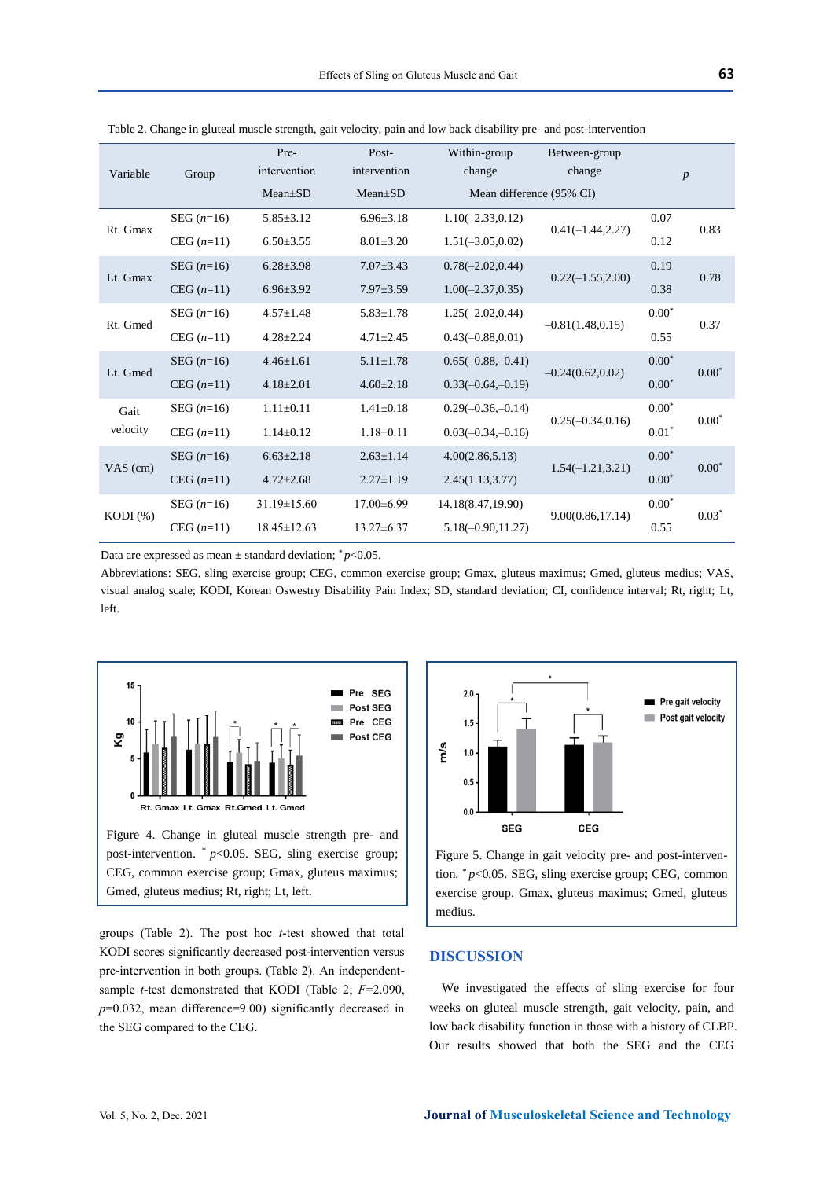| Variable    | Group        | Pre-<br>intervention | Post-<br>intervention | Within-group<br>change   | Between-group<br>change | $\boldsymbol{p}$ |         |
|-------------|--------------|----------------------|-----------------------|--------------------------|-------------------------|------------------|---------|
|             |              | $Mean \pm SD$        | $Mean \pm SD$         | Mean difference (95% CI) |                         |                  |         |
| Rt. Gmax    | SEG $(n=16)$ | $5.85 \pm 3.12$      | $6.96 \pm 3.18$       | $1.10(-2.33, 0.12)$      | $0.41(-1.44, 2.27)$     | 0.07             | 0.83    |
|             | $CEG (n=11)$ | $6.50 \pm 3.55$      | $8.01 \pm 3.20$       | $1.51(-3.05, 0.02)$      |                         | 0.12             |         |
| Lt. Gmax    | $SEG(n=16)$  | $6.28 \pm 3.98$      | $7.07 \pm 3.43$       | $0.78(-2.02, 0.44)$      | $0.22(-1.55, 2.00)$     | 0.19             | 0.78    |
|             | $CEG (n=11)$ | $6.96 \pm 3.92$      | $7.97 \pm 3.59$       | $1.00(-2.37, 0.35)$      |                         | 0.38             |         |
| Rt. Gmed    | $SEG (n=16)$ | $4.57 \pm 1.48$      | $5.83 \pm 1.78$       | $1.25(-2.02, 0.44)$      | $-0.81(1.48, 0.15)$     | $0.00*$          | 0.37    |
|             | $CEG (n=11)$ | $4.28 \pm 2.24$      | $4.71 \pm 2.45$       | $0.43(-0.88, 0.01)$      |                         | 0.55             |         |
| Lt. Gmed    | $SEG (n=16)$ | $4.46 \pm 1.61$      | $5.11 \pm 1.78$       | $0.65(-0.88,-0.41)$      |                         | $0.00*$          | $0.00*$ |
|             | $CEG (n=11)$ | $4.18 \pm 2.01$      | $4.60 \pm 2.18$       | $0.33(-0.64,-0.19)$      | $-0.24(0.62, 0.02)$     | $0.00*$          |         |
| Gait        | $SEG (n=16)$ | $1.11 \pm 0.11$      | $1.41 \pm 0.18$       | $0.29(-0.36,-0.14)$      | $0.25(-0.34, 0.16)$     | $0.00*$          | $0.00*$ |
| velocity    | $CEG (n=11)$ | $1.14 \pm 0.12$      | $1.18 \pm 0.11$       | $0.03(-0.34,-0.16)$      |                         | $0.01*$          |         |
| $VAS$ (cm)  | $SEG (n=16)$ | $6.63 \pm 2.18$      | $2.63 \pm 1.14$       | 4.00(2.86, 5.13)         |                         | $0.00*$          | $0.00*$ |
|             | $CEG (n=11)$ | $4.72 \pm 2.68$      | $2.27 \pm 1.19$       | 2.45(1.13, 3.77)         | $1.54(-1.21, 3.21)$     | $0.00*$          |         |
| $KODI(\% )$ | $SEG (n=16)$ | $31.19 \pm 15.60$    | $17.00\pm 6.99$       | 14.18(8.47,19.90)        | 9.00(0.86, 17.14)       | $0.00*$          | $0.03*$ |
|             | CEG $(n=11)$ | $18.45 \pm 12.63$    | $13.27 \pm 6.37$      | $5.18(-0.90, 11.27)$     |                         | 0.55             |         |

Table 2. Change in gluteal muscle strength, gait velocity, pain and low back disability pre- and post-intervention

Data are expressed as mean  $\pm$  standard deviation;  $\degree p$  < 0.05.

Abbreviations: SEG, sling exercise group; CEG, common exercise group; Gmax, gluteus maximus; Gmed, gluteus medius; VAS, visual analog scale; KODI, Korean Oswestry Disability Pain Index; SD, standard deviation; CI, confidence interval; Rt, right; Lt, left.



groups (Table 2). The post hoc *t*-test showed that total KODI scores significantly decreased post-intervention versus pre-intervention in both groups. (Table 2). An independentsample *t*-test demonstrated that KODI (Table 2; *F*=2.090, *p*=0.032, mean difference=9.00) significantly decreased in the SEG compared to the CEG.



Figure 5. Change in gait velocity pre- and post-intervention. *\* p*<0.05. SEG, sling exercise group; CEG, common exercise group. Gmax, gluteus maximus; Gmed, gluteus medius.

# **DISCUSSION**

We investigated the effects of sling exercise for four weeks on gluteal muscle strength, gait velocity, pain, and low back disability function in those with a history of CLBP. Our results showed that both the SEG and the CEG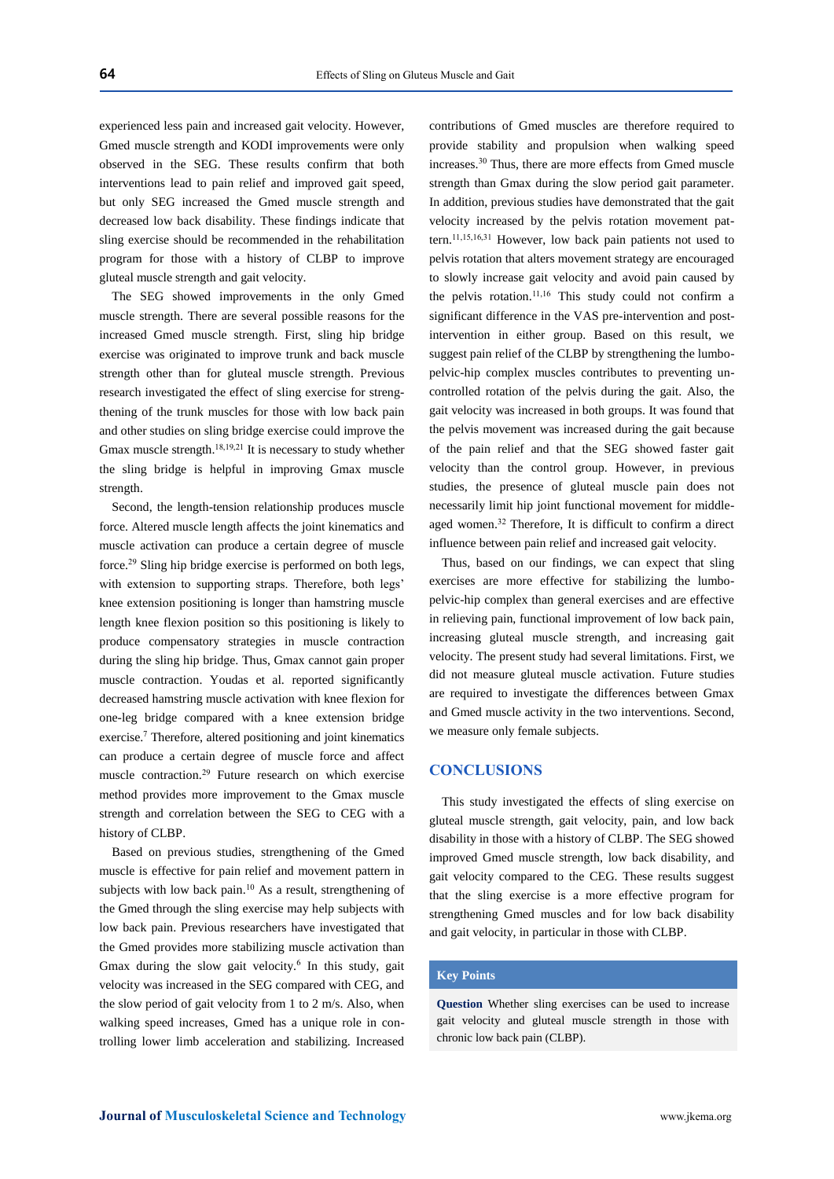experienced less pain and increased gait velocity. However, Gmed muscle strength and KODI improvements were only observed in the SEG. These results confirm that both interventions lead to pain relief and improved gait speed, but only SEG increased the Gmed muscle strength and decreased low back disability. These findings indicate that sling exercise should be recommended in the rehabilitation program for those with a history of CLBP to improve gluteal muscle strength and gait velocity.

The SEG showed improvements in the only Gmed muscle strength. There are several possible reasons for the increased Gmed muscle strength. First, sling hip bridge exercise was originated to improve trunk and back muscle strength other than for gluteal muscle strength. Previous research investigated the effect of sling exercise for strengthening of the trunk muscles for those with low back pain and other studies on sling bridge exercise could improve the Gmax muscle strength.18,19,21 It is necessary to study whether the sling bridge is helpful in improving Gmax muscle strength.

Second, the length-tension relationship produces muscle force. Altered muscle length affects the joint kinematics and muscle activation can produce a certain degree of muscle force.<sup>29</sup> Sling hip bridge exercise is performed on both legs, with extension to supporting straps. Therefore, both legs' knee extension positioning is longer than hamstring muscle length knee flexion position so this positioning is likely to produce compensatory strategies in muscle contraction during the sling hip bridge. Thus, Gmax cannot gain proper muscle contraction. Youdas et al. reported significantly decreased hamstring muscle activation with knee flexion for one-leg bridge compared with a knee extension bridge exercise.<sup>7</sup> Therefore, altered positioning and joint kinematics can produce a certain degree of muscle force and affect muscle contraction.<sup>29</sup> Future research on which exercise method provides more improvement to the Gmax muscle strength and correlation between the SEG to CEG with a history of CLBP.

Based on previous studies, strengthening of the Gmed muscle is effective for pain relief and movement pattern in subjects with low back pain.<sup>10</sup> As a result, strengthening of the Gmed through the sling exercise may help subjects with low back pain. Previous researchers have investigated that the Gmed provides more stabilizing muscle activation than Gmax during the slow gait velocity.<sup>6</sup> In this study, gait velocity was increased in the SEG compared with CEG, and the slow period of gait velocity from 1 to 2 m/s. Also, when walking speed increases, Gmed has a unique role in controlling lower limb acceleration and stabilizing. Increased

contributions of Gmed muscles are therefore required to provide stability and propulsion when walking speed increases.<sup>30</sup> Thus, there are more effects from Gmed muscle strength than Gmax during the slow period gait parameter. In addition, previous studies have demonstrated that the gait velocity increased by the pelvis rotation movement pattern.11,15,16,31 However, low back pain patients not used to pelvis rotation that alters movement strategy are encouraged to slowly increase gait velocity and avoid pain caused by the pelvis rotation.<sup>11,16</sup> This study could not confirm a significant difference in the VAS pre-intervention and postintervention in either group. Based on this result, we suggest pain relief of the CLBP by strengthening the lumbopelvic-hip complex muscles contributes to preventing uncontrolled rotation of the pelvis during the gait. Also, the gait velocity was increased in both groups. It was found that the pelvis movement was increased during the gait because of the pain relief and that the SEG showed faster gait velocity than the control group. However, in previous studies, the presence of gluteal muscle pain does not necessarily limit hip joint functional movement for middleaged women.<sup>32</sup> Therefore, It is difficult to confirm a direct influence between pain relief and increased gait velocity.

Thus, based on our findings, we can expect that sling exercises are more effective for stabilizing the lumbopelvic-hip complex than general exercises and are effective in relieving pain, functional improvement of low back pain, increasing gluteal muscle strength, and increasing gait velocity. The present study had several limitations. First, we did not measure gluteal muscle activation. Future studies are required to investigate the differences between Gmax and Gmed muscle activity in the two interventions. Second, we measure only female subjects.

# **CONCLUSIONS**

This study investigated the effects of sling exercise on gluteal muscle strength, gait velocity, pain, and low back disability in those with a history of CLBP. The SEG showed improved Gmed muscle strength, low back disability, and gait velocity compared to the CEG. These results suggest that the sling exercise is a more effective program for strengthening Gmed muscles and for low back disability and gait velocity, in particular in those with CLBP.

## **Key Points**

**Question** Whether sling exercises can be used to increase gait velocity and gluteal muscle strength in those with chronic low back pain (CLBP).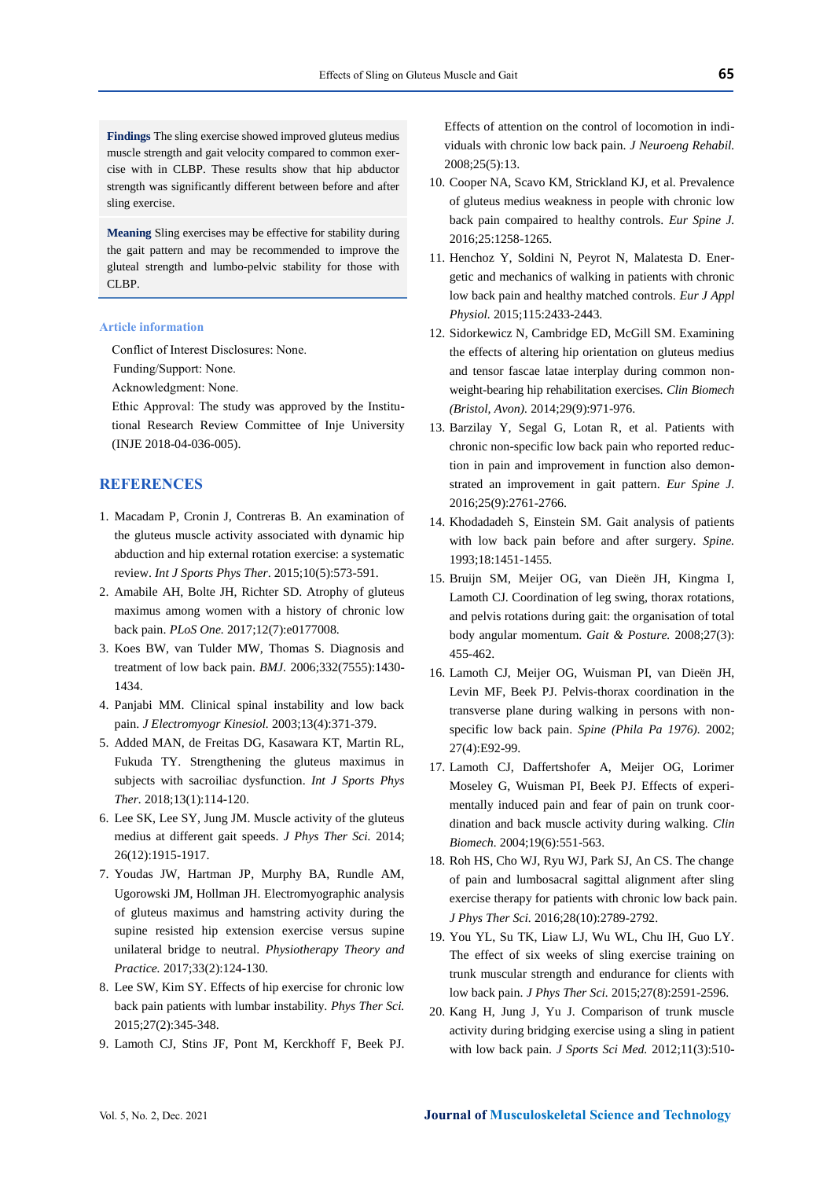**Meaning** Sling exercises may be effective for stability during the gait pattern and may be recommended to improve the gluteal strength and lumbo-pelvic stability for those with CLBP.

## **Article information**

Conflict of Interest Disclosures: None.

Funding/Support: None.

Acknowledgment: None.

Ethic Approval: The study was approved by the Institutional Research Review Committee of Inje University (INJE 2018-04-036-005).

# **REFERENCES**

- 1. Macadam P, Cronin J, Contreras B. An examination of the gluteus muscle activity associated with dynamic hip abduction and hip external rotation exercise: a systematic review. *Int J Sports Phys Ther*. 2015;10(5):573-591.
- 2. Amabile AH, Bolte JH, Richter SD. Atrophy of gluteus maximus among women with a history of chronic low back pain. *PLoS One.* 2017;12(7):e0177008.
- 3. Koes BW, van Tulder MW, Thomas S. Diagnosis and treatment of low back pain. *BMJ.* 2006;332(7555):1430- 1434.
- 4. Panjabi MM. Clinical spinal instability and low back pain. *J Electromyogr Kinesiol.* 2003;13(4):371-379.
- 5. Added MAN, de Freitas DG, Kasawara KT, Martin RL, Fukuda TY. Strengthening the gluteus maximus in subjects with sacroiliac dysfunction. *Int J Sports Phys Ther.* 2018;13(1):114-120.
- 6. Lee SK, Lee SY, Jung JM. Muscle activity of the gluteus medius at different gait speeds. *J Phys Ther Sci.* 2014; 26(12):1915-1917.
- 7. Youdas JW, Hartman JP, Murphy BA, Rundle AM, Ugorowski JM, Hollman JH. Electromyographic analysis of gluteus maximus and hamstring activity during the supine resisted hip extension exercise versus supine unilateral bridge to neutral. *Physiotherapy Theory and Practice.* 2017;33(2):124-130.
- 8. Lee SW, Kim SY. Effects of hip exercise for chronic low back pain patients with lumbar instability. *Phys Ther Sci.* 2015;27(2):345-348.
- 9. Lamoth CJ, Stins JF, Pont M, Kerckhoff F, Beek PJ.

Effects of attention on the control of locomotion in individuals with chronic low back pain. *J Neuroeng Rehabil.* 2008;25(5):13.

- 10. Cooper NA, Scavo KM, Strickland KJ, et al. Prevalence of gluteus medius weakness in people with chronic low back pain compaired to healthy controls. *Eur Spine J.* 2016;25:1258-1265.
- 11. Henchoz Y, Soldini N, Peyrot N, Malatesta D. Energetic and mechanics of walking in patients with chronic low back pain and healthy matched controls. *Eur J Appl Physiol.* 2015;115:2433-2443.
- 12. Sidorkewicz N, Cambridge ED, McGill SM. Examining the effects of altering hip orientation on gluteus medius and tensor fascae latae interplay during common nonweight-bearing hip rehabilitation exercises. *Clin Biomech (Bristol, Avon).* 2014;29(9):971-976.
- 13. Barzilay Y, Segal G, Lotan R, et al. Patients with chronic non-specific low back pain who reported reduction in pain and improvement in function also demonstrated an improvement in gait pattern. *Eur Spine J.* 2016;25(9):2761-2766.
- 14. Khodadadeh S, Einstein SM. Gait analysis of patients with low back pain before and after surgery. *Spine.* 1993;18:1451-1455.
- 15. Bruijn SM, Meijer OG, van Dieën JH, Kingma I, Lamoth CJ. Coordination of leg swing, thorax rotations, and pelvis rotations during gait: the organisation of total body angular momentum. *Gait & Posture.* 2008;27(3): 455-462.
- 16. Lamoth CJ, Meijer OG, Wuisman PI, van Dieën JH, Levin MF, Beek PJ. Pelvis-thorax coordination in the transverse plane during walking in persons with nonspecific low back pain. *Spine (Phila Pa 1976).* 2002; 27(4):E92-99.
- 17. Lamoth CJ, Daffertshofer A, Meijer OG, Lorimer Moseley G, Wuisman PI, Beek PJ. Effects of experimentally induced pain and fear of pain on trunk coordination and back muscle activity during walking. *Clin Biomech.* 2004;19(6):551-563.
- 18. Roh HS, Cho WJ, Ryu WJ, Park SJ, An CS. The change of pain and lumbosacral sagittal alignment after sling exercise therapy for patients with chronic low back pain. *J Phys Ther Sci.* 2016;28(10):2789-2792.
- 19. You YL, Su TK, Liaw LJ, Wu WL, Chu IH, Guo LY. The effect of six weeks of sling exercise training on trunk muscular strength and endurance for clients with low back pain. *J Phys Ther Sci.* 2015;27(8):2591-2596.
- 20. Kang H, Jung J, Yu J. Comparison of trunk muscle activity during bridging exercise using a sling in patient with low back pain. *J Sports Sci Med.* 2012;11(3):510-